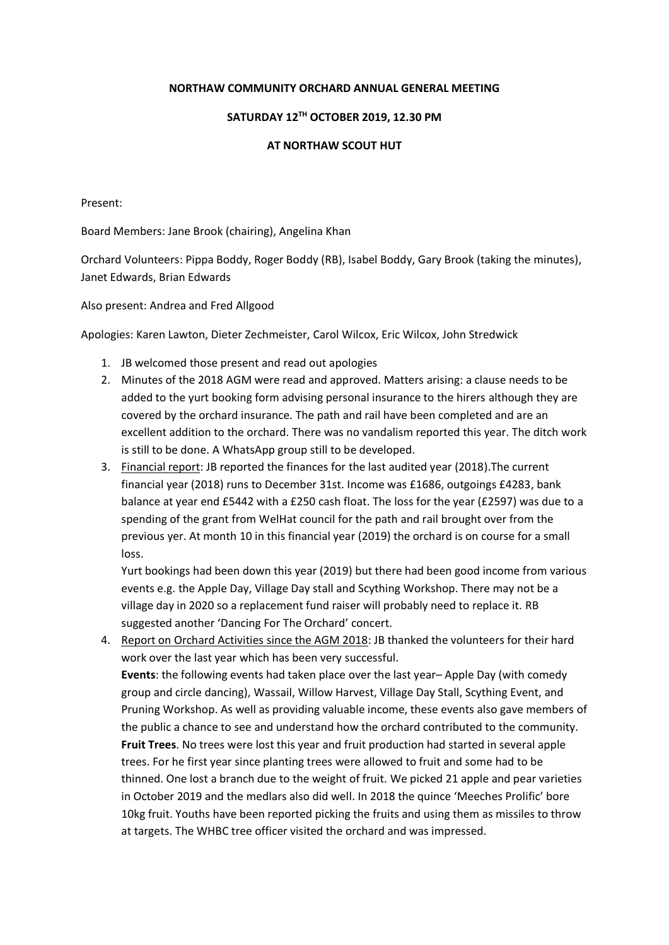## **NORTHAW COMMUNITY ORCHARD ANNUAL GENERAL MEETING**

## **SATURDAY 12TH OCTOBER 2019, 12.30 PM**

## **AT NORTHAW SCOUT HUT**

Present:

Board Members: Jane Brook (chairing), Angelina Khan

Orchard Volunteers: Pippa Boddy, Roger Boddy (RB), Isabel Boddy, Gary Brook (taking the minutes), Janet Edwards, Brian Edwards

Also present: Andrea and Fred Allgood

Apologies: Karen Lawton, Dieter Zechmeister, Carol Wilcox, Eric Wilcox, John Stredwick

- 1. JB welcomed those present and read out apologies
- 2. Minutes of the 2018 AGM were read and approved. Matters arising: a clause needs to be added to the yurt booking form advising personal insurance to the hirers although they are covered by the orchard insurance. The path and rail have been completed and are an excellent addition to the orchard. There was no vandalism reported this year. The ditch work is still to be done. A WhatsApp group still to be developed.
- 3. Financial report: JB reported the finances for the last audited year (2018). The current financial year (2018) runs to December 31st. Income was £1686, outgoings £4283, bank balance at year end £5442 with a £250 cash float. The loss for the year (£2597) was due to a spending of the grant from WelHat council for the path and rail brought over from the previous yer. At month 10 in this financial year (2019) the orchard is on course for a small loss.

Yurt bookings had been down this year (2019) but there had been good income from various events e.g. the Apple Day, Village Day stall and Scything Workshop. There may not be a village day in 2020 so a replacement fund raiser will probably need to replace it. RB suggested another 'Dancing For The Orchard' concert.

4. Report on Orchard Activities since the AGM 2018: JB thanked the volunteers for their hard work over the last year which has been very successful. **Events**: the following events had taken place over the last year– Apple Day (with comedy group and circle dancing), Wassail, Willow Harvest, Village Day Stall, Scything Event, and Pruning Workshop. As well as providing valuable income, these events also gave members of the public a chance to see and understand how the orchard contributed to the community. **Fruit Trees**. No trees were lost this year and fruit production had started in several apple trees. For he first year since planting trees were allowed to fruit and some had to be thinned. One lost a branch due to the weight of fruit. We picked 21 apple and pear varieties in October 2019 and the medlars also did well. In 2018 the quince 'Meeches Prolific' bore 10kg fruit. Youths have been reported picking the fruits and using them as missiles to throw at targets. The WHBC tree officer visited the orchard and was impressed.